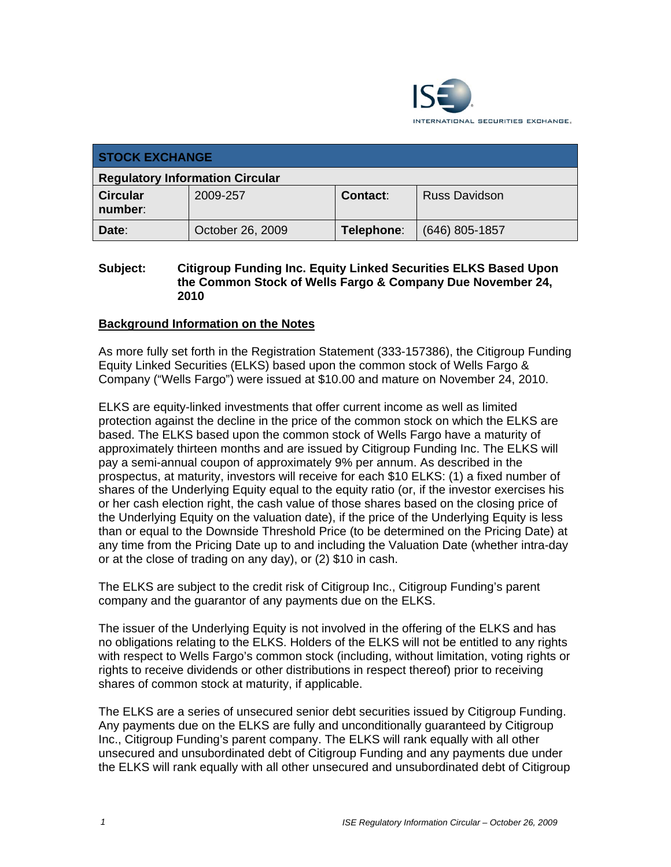

| <b>STOCK EXCHANGE</b>                  |                  |            |                      |  |  |
|----------------------------------------|------------------|------------|----------------------|--|--|
| <b>Regulatory Information Circular</b> |                  |            |                      |  |  |
| <b>Circular</b><br>number:             | 2009-257         | Contact:   | <b>Russ Davidson</b> |  |  |
| Date:                                  | October 26, 2009 | Telephone: | $(646)$ 805-1857     |  |  |

## **Subject: Citigroup Funding Inc. Equity Linked Securities ELKS Based Upon the Common Stock of Wells Fargo & Company Due November 24, 2010**

### **Background Information on the Notes**

As more fully set forth in the Registration Statement (333-157386), the Citigroup Funding Equity Linked Securities (ELKS) based upon the common stock of Wells Fargo & Company ("Wells Fargo") were issued at \$10.00 and mature on November 24, 2010.

ELKS are equity-linked investments that offer current income as well as limited protection against the decline in the price of the common stock on which the ELKS are based. The ELKS based upon the common stock of Wells Fargo have a maturity of approximately thirteen months and are issued by Citigroup Funding Inc. The ELKS will pay a semi-annual coupon of approximately 9% per annum. As described in the prospectus, at maturity, investors will receive for each \$10 ELKS: (1) a fixed number of shares of the Underlying Equity equal to the equity ratio (or, if the investor exercises his or her cash election right, the cash value of those shares based on the closing price of the Underlying Equity on the valuation date), if the price of the Underlying Equity is less than or equal to the Downside Threshold Price (to be determined on the Pricing Date) at any time from the Pricing Date up to and including the Valuation Date (whether intra-day or at the close of trading on any day), or (2) \$10 in cash.

The ELKS are subject to the credit risk of Citigroup Inc., Citigroup Funding's parent company and the guarantor of any payments due on the ELKS.

The issuer of the Underlying Equity is not involved in the offering of the ELKS and has no obligations relating to the ELKS. Holders of the ELKS will not be entitled to any rights with respect to Wells Fargo's common stock (including, without limitation, voting rights or rights to receive dividends or other distributions in respect thereof) prior to receiving shares of common stock at maturity, if applicable.

The ELKS are a series of unsecured senior debt securities issued by Citigroup Funding. Any payments due on the ELKS are fully and unconditionally guaranteed by Citigroup Inc., Citigroup Funding's parent company. The ELKS will rank equally with all other unsecured and unsubordinated debt of Citigroup Funding and any payments due under the ELKS will rank equally with all other unsecured and unsubordinated debt of Citigroup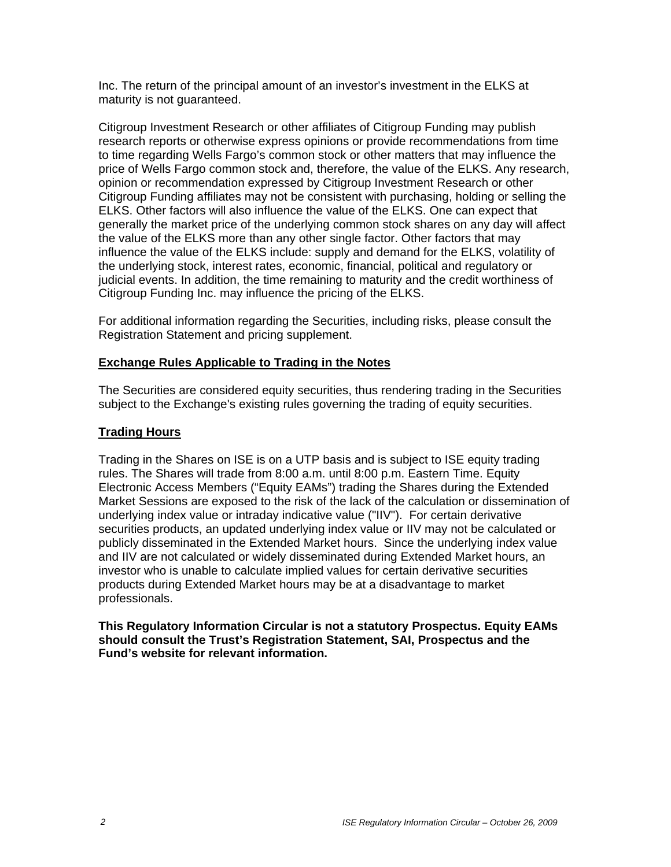Inc. The return of the principal amount of an investor's investment in the ELKS at maturity is not guaranteed.

Citigroup Investment Research or other affiliates of Citigroup Funding may publish research reports or otherwise express opinions or provide recommendations from time to time regarding Wells Fargo's common stock or other matters that may influence the price of Wells Fargo common stock and, therefore, the value of the ELKS. Any research, opinion or recommendation expressed by Citigroup Investment Research or other Citigroup Funding affiliates may not be consistent with purchasing, holding or selling the ELKS. Other factors will also influence the value of the ELKS. One can expect that generally the market price of the underlying common stock shares on any day will affect the value of the ELKS more than any other single factor. Other factors that may influence the value of the ELKS include: supply and demand for the ELKS, volatility of the underlying stock, interest rates, economic, financial, political and regulatory or judicial events. In addition, the time remaining to maturity and the credit worthiness of Citigroup Funding Inc. may influence the pricing of the ELKS.

For additional information regarding the Securities, including risks, please consult the Registration Statement and pricing supplement.

# **Exchange Rules Applicable to Trading in the Notes**

The Securities are considered equity securities, thus rendering trading in the Securities subject to the Exchange's existing rules governing the trading of equity securities.

## **Trading Hours**

Trading in the Shares on ISE is on a UTP basis and is subject to ISE equity trading rules. The Shares will trade from 8:00 a.m. until 8:00 p.m. Eastern Time. Equity Electronic Access Members ("Equity EAMs") trading the Shares during the Extended Market Sessions are exposed to the risk of the lack of the calculation or dissemination of underlying index value or intraday indicative value ("IIV"). For certain derivative securities products, an updated underlying index value or IIV may not be calculated or publicly disseminated in the Extended Market hours. Since the underlying index value and IIV are not calculated or widely disseminated during Extended Market hours, an investor who is unable to calculate implied values for certain derivative securities products during Extended Market hours may be at a disadvantage to market professionals.

**This Regulatory Information Circular is not a statutory Prospectus. Equity EAMs should consult the Trust's Registration Statement, SAI, Prospectus and the Fund's website for relevant information.**